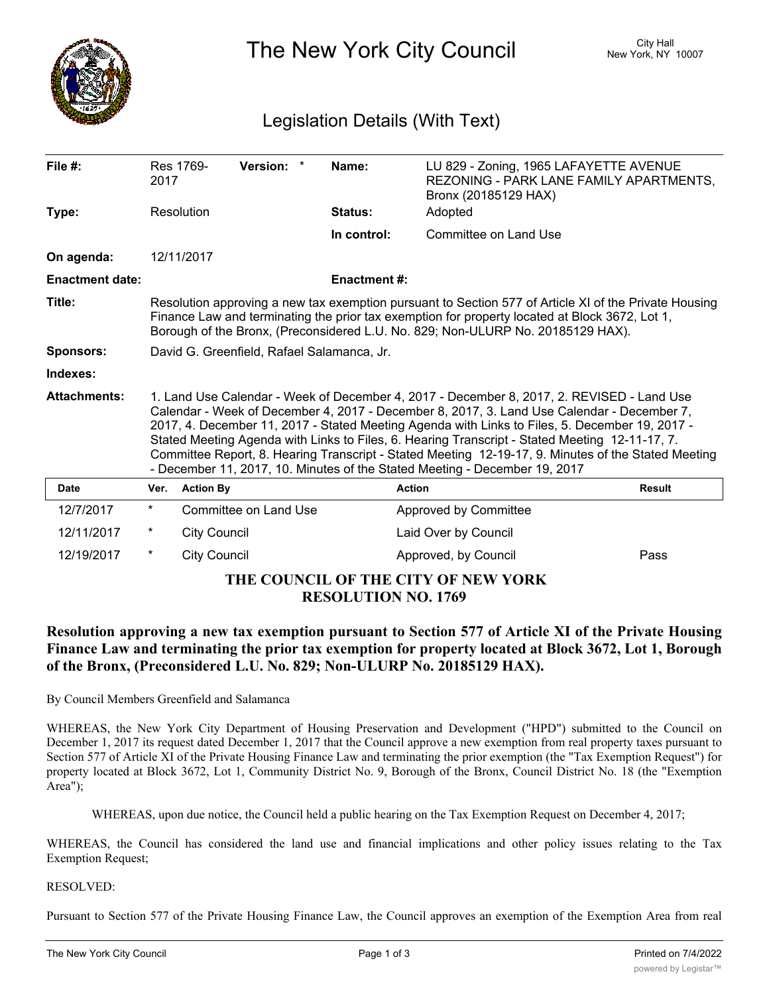

The New York City Council New York, NY 10007

# Legislation Details (With Text)

| File $#$ :                          | 2017                                                                                                                                                                                                                                                                                                                                                                                                                                                                                                                                                                             | Res 1769-           | Version: *            | Name:               | LU 829 - Zoning, 1965 LAFAYETTE AVENUE<br>REZONING - PARK LANE FAMILY APARTMENTS,<br>Bronx (20185129 HAX) |               |
|-------------------------------------|----------------------------------------------------------------------------------------------------------------------------------------------------------------------------------------------------------------------------------------------------------------------------------------------------------------------------------------------------------------------------------------------------------------------------------------------------------------------------------------------------------------------------------------------------------------------------------|---------------------|-----------------------|---------------------|-----------------------------------------------------------------------------------------------------------|---------------|
| Type:                               | Resolution                                                                                                                                                                                                                                                                                                                                                                                                                                                                                                                                                                       |                     |                       | Status:             | Adopted                                                                                                   |               |
|                                     |                                                                                                                                                                                                                                                                                                                                                                                                                                                                                                                                                                                  |                     |                       | In control:         | Committee on Land Use                                                                                     |               |
| On agenda:                          |                                                                                                                                                                                                                                                                                                                                                                                                                                                                                                                                                                                  | 12/11/2017          |                       |                     |                                                                                                           |               |
| <b>Enactment date:</b>              |                                                                                                                                                                                                                                                                                                                                                                                                                                                                                                                                                                                  |                     |                       | <b>Enactment #:</b> |                                                                                                           |               |
| Title:                              | Resolution approving a new tax exemption pursuant to Section 577 of Article XI of the Private Housing<br>Finance Law and terminating the prior tax exemption for property located at Block 3672, Lot 1,<br>Borough of the Bronx, (Preconsidered L.U. No. 829; Non-ULURP No. 20185129 HAX).                                                                                                                                                                                                                                                                                       |                     |                       |                     |                                                                                                           |               |
| <b>Sponsors:</b>                    | David G. Greenfield, Rafael Salamanca, Jr.                                                                                                                                                                                                                                                                                                                                                                                                                                                                                                                                       |                     |                       |                     |                                                                                                           |               |
| Indexes:                            |                                                                                                                                                                                                                                                                                                                                                                                                                                                                                                                                                                                  |                     |                       |                     |                                                                                                           |               |
| <b>Attachments:</b>                 | 1. Land Use Calendar - Week of December 4, 2017 - December 8, 2017, 2. REVISED - Land Use<br>Calendar - Week of December 4, 2017 - December 8, 2017, 3. Land Use Calendar - December 7,<br>2017, 4. December 11, 2017 - Stated Meeting Agenda with Links to Files, 5. December 19, 2017 -<br>Stated Meeting Agenda with Links to Files, 6. Hearing Transcript - Stated Meeting 12-11-17, 7.<br>Committee Report, 8. Hearing Transcript - Stated Meeting 12-19-17, 9. Minutes of the Stated Meeting<br>- December 11, 2017, 10. Minutes of the Stated Meeting - December 19, 2017 |                     |                       |                     |                                                                                                           |               |
| <b>Date</b>                         | Ver.                                                                                                                                                                                                                                                                                                                                                                                                                                                                                                                                                                             | <b>Action By</b>    |                       | <b>Action</b>       |                                                                                                           | <b>Result</b> |
| 12/7/2017                           | $^\ast$                                                                                                                                                                                                                                                                                                                                                                                                                                                                                                                                                                          |                     | Committee on Land Use |                     | Approved by Committee                                                                                     |               |
| 12/11/2017                          | $^\star$                                                                                                                                                                                                                                                                                                                                                                                                                                                                                                                                                                         | <b>City Council</b> |                       |                     | Laid Over by Council                                                                                      |               |
| 12/19/2017                          | $^\ast$                                                                                                                                                                                                                                                                                                                                                                                                                                                                                                                                                                          | <b>City Council</b> |                       |                     | Approved, by Council                                                                                      | Pass          |
| THE COUNCIL OF THE CITY OF NEW YORK |                                                                                                                                                                                                                                                                                                                                                                                                                                                                                                                                                                                  |                     |                       |                     |                                                                                                           |               |

### **RESOLUTION NO. 1769**

## **Resolution approving a new tax exemption pursuant to Section 577 of Article XI of the Private Housing Finance Law and terminating the prior tax exemption for property located at Block 3672, Lot 1, Borough of the Bronx, (Preconsidered L.U. No. 829; Non-ULURP No. 20185129 HAX).**

By Council Members Greenfield and Salamanca

WHEREAS, the New York City Department of Housing Preservation and Development ("HPD") submitted to the Council on December 1, 2017 its request dated December 1, 2017 that the Council approve a new exemption from real property taxes pursuant to Section 577 of Article XI of the Private Housing Finance Law and terminating the prior exemption (the "Tax Exemption Request") for property located at Block 3672, Lot 1, Community District No. 9, Borough of the Bronx, Council District No. 18 (the "Exemption Area");

WHEREAS, upon due notice, the Council held a public hearing on the Tax Exemption Request on December 4, 2017;

WHEREAS, the Council has considered the land use and financial implications and other policy issues relating to the Tax Exemption Request;

#### RESOLVED:

Pursuant to Section 577 of the Private Housing Finance Law, the Council approves an exemption of the Exemption Area from real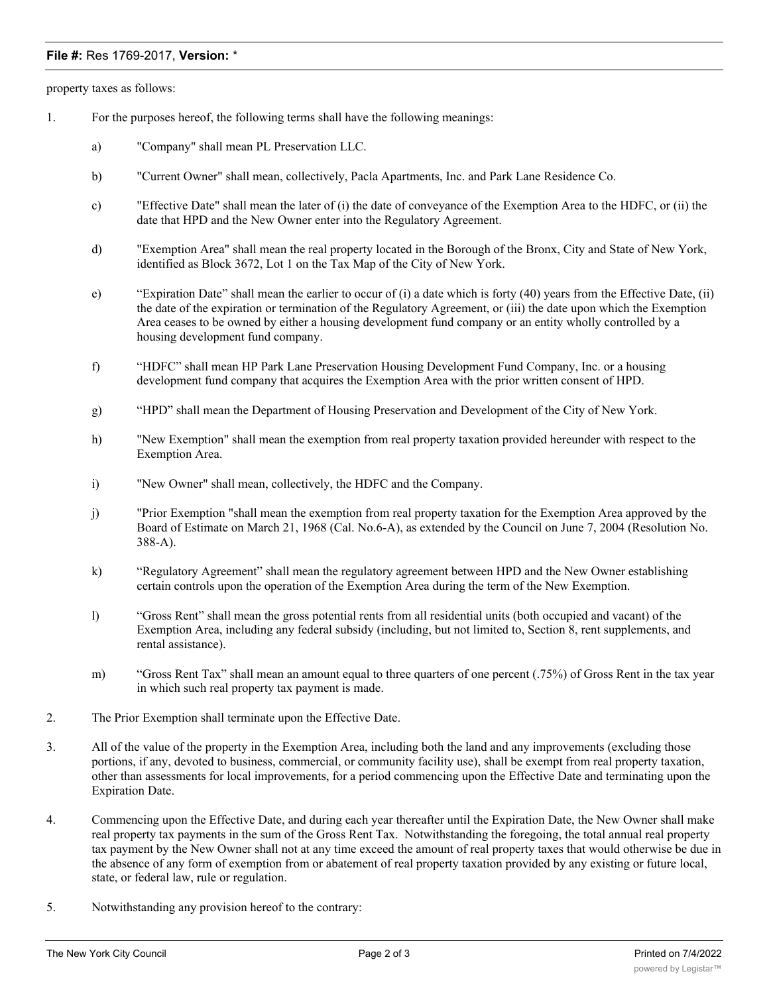#### **File #:** Res 1769-2017, **Version:** \*

property taxes as follows:

- 1. For the purposes hereof, the following terms shall have the following meanings:
	- a) "Company" shall mean PL Preservation LLC.
	- b) "Current Owner" shall mean, collectively, Pacla Apartments, Inc. and Park Lane Residence Co.
	- c) "Effective Date" shall mean the later of (i) the date of conveyance of the Exemption Area to the HDFC, or (ii) the date that HPD and the New Owner enter into the Regulatory Agreement.
	- d) "Exemption Area" shall mean the real property located in the Borough of the Bronx, City and State of New York, identified as Block 3672, Lot 1 on the Tax Map of the City of New York.
	- e) "Expiration Date" shall mean the earlier to occur of (i) a date which is forty (40) years from the Effective Date, (ii) the date of the expiration or termination of the Regulatory Agreement, or (iii) the date upon which the Exemption Area ceases to be owned by either a housing development fund company or an entity wholly controlled by a housing development fund company.
	- f) "HDFC" shall mean HP Park Lane Preservation Housing Development Fund Company, Inc. or a housing development fund company that acquires the Exemption Area with the prior written consent of HPD.
	- g) "HPD" shall mean the Department of Housing Preservation and Development of the City of New York.
	- h) "New Exemption" shall mean the exemption from real property taxation provided hereunder with respect to the Exemption Area.
	- i) "New Owner" shall mean, collectively, the HDFC and the Company.
	- j) "Prior Exemption "shall mean the exemption from real property taxation for the Exemption Area approved by the Board of Estimate on March 21, 1968 (Cal. No.6-A), as extended by the Council on June 7, 2004 (Resolution No. 388-A).
	- k) "Regulatory Agreement" shall mean the regulatory agreement between HPD and the New Owner establishing certain controls upon the operation of the Exemption Area during the term of the New Exemption.
	- l) "Gross Rent" shall mean the gross potential rents from all residential units (both occupied and vacant) of the Exemption Area, including any federal subsidy (including, but not limited to, Section 8, rent supplements, and rental assistance).
	- m) "Gross Rent Tax" shall mean an amount equal to three quarters of one percent (.75%) of Gross Rent in the tax year in which such real property tax payment is made.
- 2. The Prior Exemption shall terminate upon the Effective Date.
- 3. All of the value of the property in the Exemption Area, including both the land and any improvements (excluding those portions, if any, devoted to business, commercial, or community facility use), shall be exempt from real property taxation, other than assessments for local improvements, for a period commencing upon the Effective Date and terminating upon the Expiration Date.
- 4. Commencing upon the Effective Date, and during each year thereafter until the Expiration Date, the New Owner shall make real property tax payments in the sum of the Gross Rent Tax. Notwithstanding the foregoing, the total annual real property tax payment by the New Owner shall not at any time exceed the amount of real property taxes that would otherwise be due in the absence of any form of exemption from or abatement of real property taxation provided by any existing or future local, state, or federal law, rule or regulation.
- 5. Notwithstanding any provision hereof to the contrary: